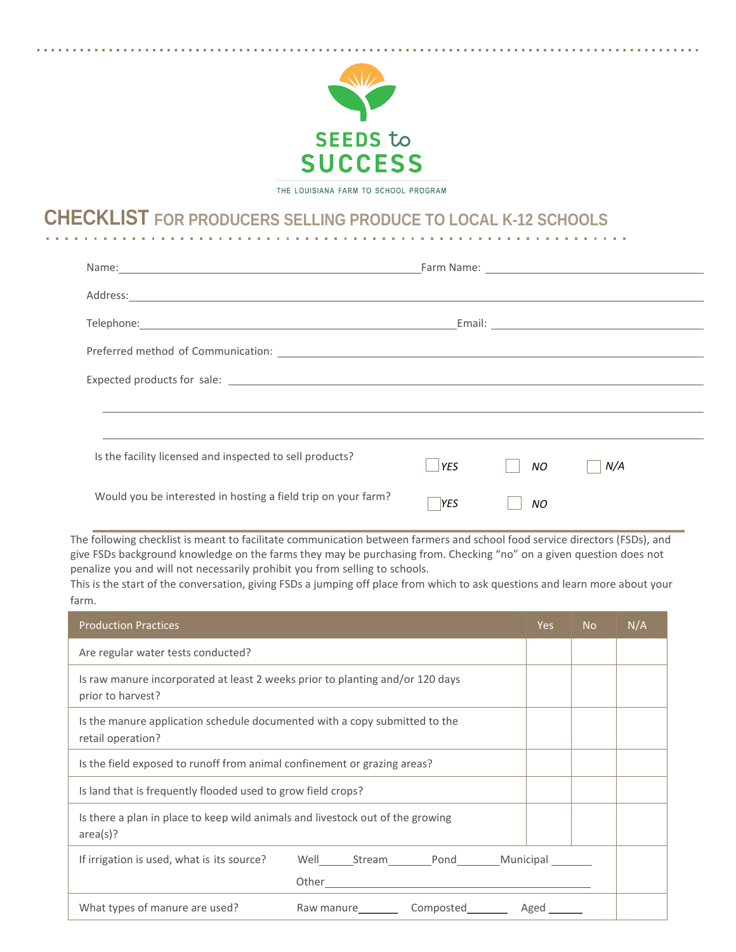

THE LOUISIANA FARM TO SCHOOL PROGRAM

## **CHECKLIST FOR PRODUCERS SELLING PRODUCE TO LOCAL K-12 SCHOOLS**

| Is the facility licensed and inspected to sell products?      | <b>YES</b> | NO. | N/A |
|---------------------------------------------------------------|------------|-----|-----|
| Would you be interested in hosting a field trip on your farm? | <b>YES</b> | NΟ  |     |

 give FSDs background knowledge on the farms they may be purchasing from. Checking "no" on a given question does not penalize you and will not necessarily prohibit you from selling to schools. The following checklist is meant to facilitate communication between farmers and school food service directors (FSDs), and

 This is the start of the conversation, giving FSDs a jumping off place from which to ask questions and learn more about your farm.

| <b>Production Practices</b>                                                                        |                      | Yes. | N <sub>o</sub> | N/A |
|----------------------------------------------------------------------------------------------------|----------------------|------|----------------|-----|
| Are regular water tests conducted?                                                                 |                      |      |                |     |
| Is raw manure incorporated at least 2 weeks prior to planting and/or 120 days<br>prior to harvest? |                      |      |                |     |
| Is the manure application schedule documented with a copy submitted to the<br>retail operation?    |                      |      |                |     |
| Is the field exposed to runoff from animal confinement or grazing areas?                           |                      |      |                |     |
| Is land that is frequently flooded used to grow field crops?                                       |                      |      |                |     |
| Is there a plan in place to keep wild animals and livestock out of the growing<br>area(s)?         |                      |      |                |     |
| If irrigation is used, what is its source?                                                         |                      |      |                |     |
| What types of manure are used?                                                                     | Raw manure Composted | Aged |                |     |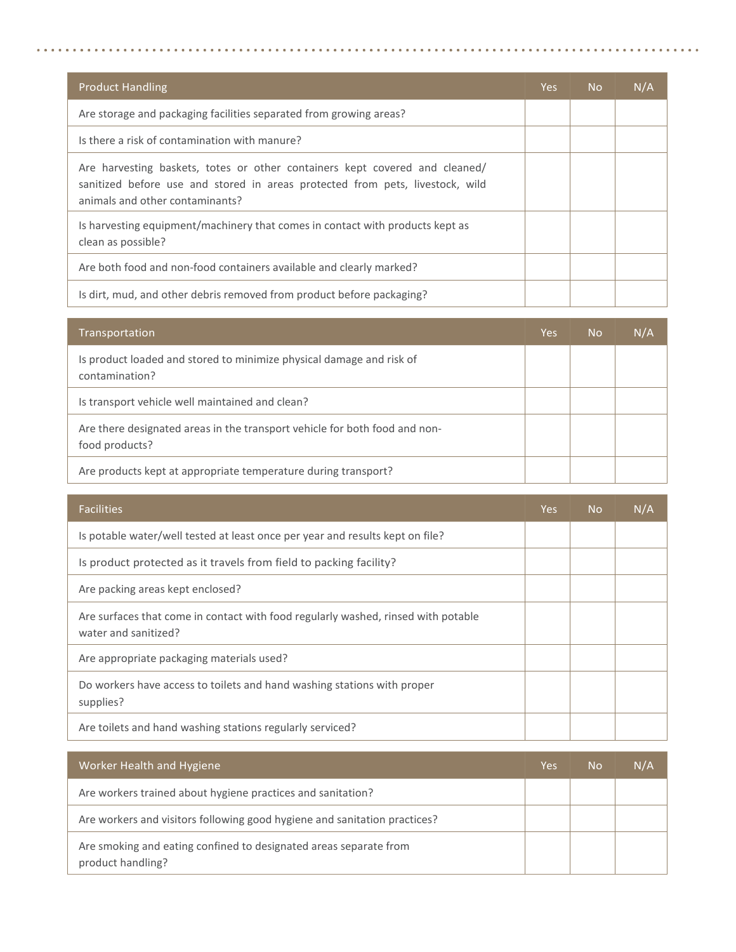| <b>Product Handling</b>                                                                                                                                                                         | Yes. | <b>No</b> | N/A |
|-------------------------------------------------------------------------------------------------------------------------------------------------------------------------------------------------|------|-----------|-----|
| Are storage and packaging facilities separated from growing areas?                                                                                                                              |      |           |     |
| Is there a risk of contamination with manure?                                                                                                                                                   |      |           |     |
| Are harvesting baskets, totes or other containers kept covered and cleaned/<br>sanitized before use and stored in areas protected from pets, livestock, wild<br>animals and other contaminants? |      |           |     |
| Is harvesting equipment/machinery that comes in contact with products kept as<br>clean as possible?                                                                                             |      |           |     |
| Are both food and non-food containers available and clearly marked?                                                                                                                             |      |           |     |
| Is dirt, mud, and other debris removed from product before packaging?                                                                                                                           |      |           |     |

| Transportation                                                                               | Yes | <b>No</b> | N/A |
|----------------------------------------------------------------------------------------------|-----|-----------|-----|
| Is product loaded and stored to minimize physical damage and risk of<br>contamination?       |     |           |     |
| Is transport vehicle well maintained and clean?                                              |     |           |     |
| Are there designated areas in the transport vehicle for both food and non-<br>food products? |     |           |     |
| Are products kept at appropriate temperature during transport?                               |     |           |     |

| <b>Facilities</b>                                                                                         | Yes. | <b>No</b> | N/A |
|-----------------------------------------------------------------------------------------------------------|------|-----------|-----|
| Is potable water/well tested at least once per year and results kept on file?                             |      |           |     |
| Is product protected as it travels from field to packing facility?                                        |      |           |     |
| Are packing areas kept enclosed?                                                                          |      |           |     |
| Are surfaces that come in contact with food regularly washed, rinsed with potable<br>water and sanitized? |      |           |     |
| Are appropriate packaging materials used?                                                                 |      |           |     |
| Do workers have access to toilets and hand washing stations with proper<br>supplies?                      |      |           |     |
| Are toilets and hand washing stations regularly serviced?                                                 |      |           |     |

| Worker Health and Hygiene                                                              | Yes | <b>No</b> | N/A |
|----------------------------------------------------------------------------------------|-----|-----------|-----|
| Are workers trained about hygiene practices and sanitation?                            |     |           |     |
| Are workers and visitors following good hygiene and sanitation practices?              |     |           |     |
| Are smoking and eating confined to designated areas separate from<br>product handling? |     |           |     |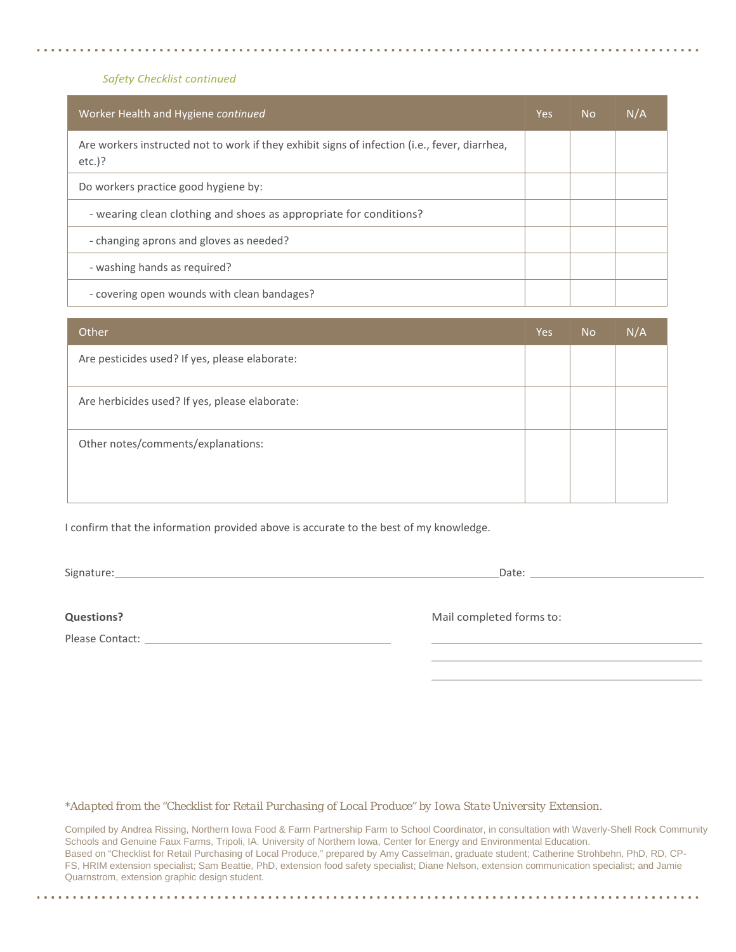## *Safety Checklist continued*

| Worker Health and Hygiene continued                                                                        | Yes. | <b>No</b> | N/A |
|------------------------------------------------------------------------------------------------------------|------|-----------|-----|
| Are workers instructed not to work if they exhibit signs of infection (i.e., fever, diarrhea,<br>$etc.$ )? |      |           |     |
| Do workers practice good hygiene by:                                                                       |      |           |     |
| - wearing clean clothing and shoes as appropriate for conditions?                                          |      |           |     |
| - changing aprons and gloves as needed?                                                                    |      |           |     |
| - washing hands as required?                                                                               |      |           |     |
| - covering open wounds with clean bandages?                                                                |      |           |     |

| Other                                          | Yes | <b>No</b> | N/A |
|------------------------------------------------|-----|-----------|-----|
| Are pesticides used? If yes, please elaborate: |     |           |     |
| Are herbicides used? If yes, please elaborate: |     |           |     |
| Other notes/comments/explanations:             |     |           |     |

I confirm that the information provided above is accurate to the best of my knowledge.

Signature: 2000 Contract and Contract and Contract and Contract and Contract and Contract and Contract and Contract and Contract and Contract and Contract and Contract and Contract and Contract and Contract and Contract an

Please Contact:

**Questions? CONSIDERED FOR A CONSIDERED FOR A CONSIDERED FOR A CONSIDERED FOR A CONSIDERED FOR A CONSIDERED FOR A CONSIDERED FOR A CONSIDERED FOR A CONSIDERED FOR A CONSIDERED FOR A CONSIDERED FOR A CONSIDERED FOR A CONS** 

*\*Adapted from the "Checklist for Retail Purchasing of Local Produce" by Iowa State University Extension.*

 Schools and Genuine Faux Farms, Tripoli, IA. University of Northern Iowa, Center for Energy and Environmental Education. Based on "Checklist for Retail Purchasing of Local Produce," prepared by Amy Casselman, graduate student; Catherine Strohbehn, PhD, RD, CP- FS, HRIM extension specialist; Sam Beattie, PhD, extension food safety specialist; Diane Nelson, extension communication specialist; and Jamie Compiled by Andrea Rissing, Northern Iowa Food & Farm Partnership Farm to School Coordinator, in consultation with Waverly-Shell Rock Community Quarnstrom, extension graphic design student.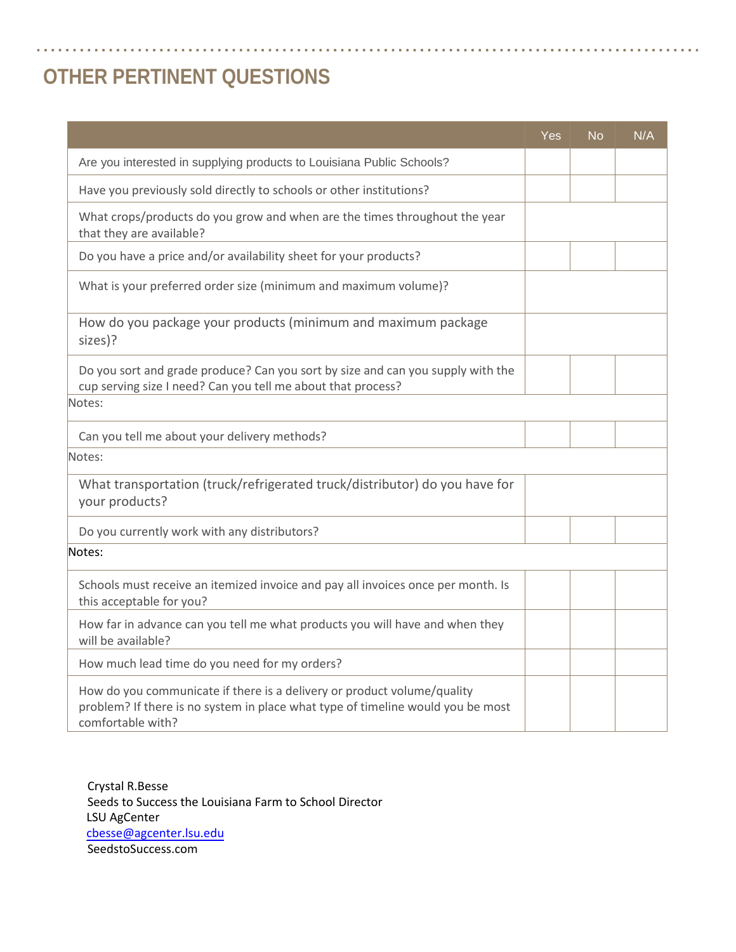## **OTHER PERTINENT QUESTIONS**

|                                                                                                                                                                                 | Yes | <b>No</b> | N/A |
|---------------------------------------------------------------------------------------------------------------------------------------------------------------------------------|-----|-----------|-----|
| Are you interested in supplying products to Louisiana Public Schools?                                                                                                           |     |           |     |
| Have you previously sold directly to schools or other institutions?                                                                                                             |     |           |     |
| What crops/products do you grow and when are the times throughout the year<br>that they are available?                                                                          |     |           |     |
| Do you have a price and/or availability sheet for your products?                                                                                                                |     |           |     |
| What is your preferred order size (minimum and maximum volume)?                                                                                                                 |     |           |     |
| How do you package your products (minimum and maximum package<br>sizes)?                                                                                                        |     |           |     |
| Do you sort and grade produce? Can you sort by size and can you supply with the<br>cup serving size I need? Can you tell me about that process?                                 |     |           |     |
| Notes:                                                                                                                                                                          |     |           |     |
| Can you tell me about your delivery methods?                                                                                                                                    |     |           |     |
| Notes:                                                                                                                                                                          |     |           |     |
| What transportation (truck/refrigerated truck/distributor) do you have for<br>your products?                                                                                    |     |           |     |
| Do you currently work with any distributors?                                                                                                                                    |     |           |     |
| Notes:                                                                                                                                                                          |     |           |     |
| Schools must receive an itemized invoice and pay all invoices once per month. Is<br>this acceptable for you?                                                                    |     |           |     |
| How far in advance can you tell me what products you will have and when they<br>will be available?                                                                              |     |           |     |
| How much lead time do you need for my orders?                                                                                                                                   |     |           |     |
| How do you communicate if there is a delivery or product volume/quality<br>problem? If there is no system in place what type of timeline would you be most<br>comfortable with? |     |           |     |

Crystal R.Besse Seeds to Success the Louisiana Farm to School Director LSU AgCenter cbesse[@agcenter.lsu.edu](mailto:cbesse@agcenter.lsu.edu) [SeedstoSuccess.com](www.seedstosuccess.com)